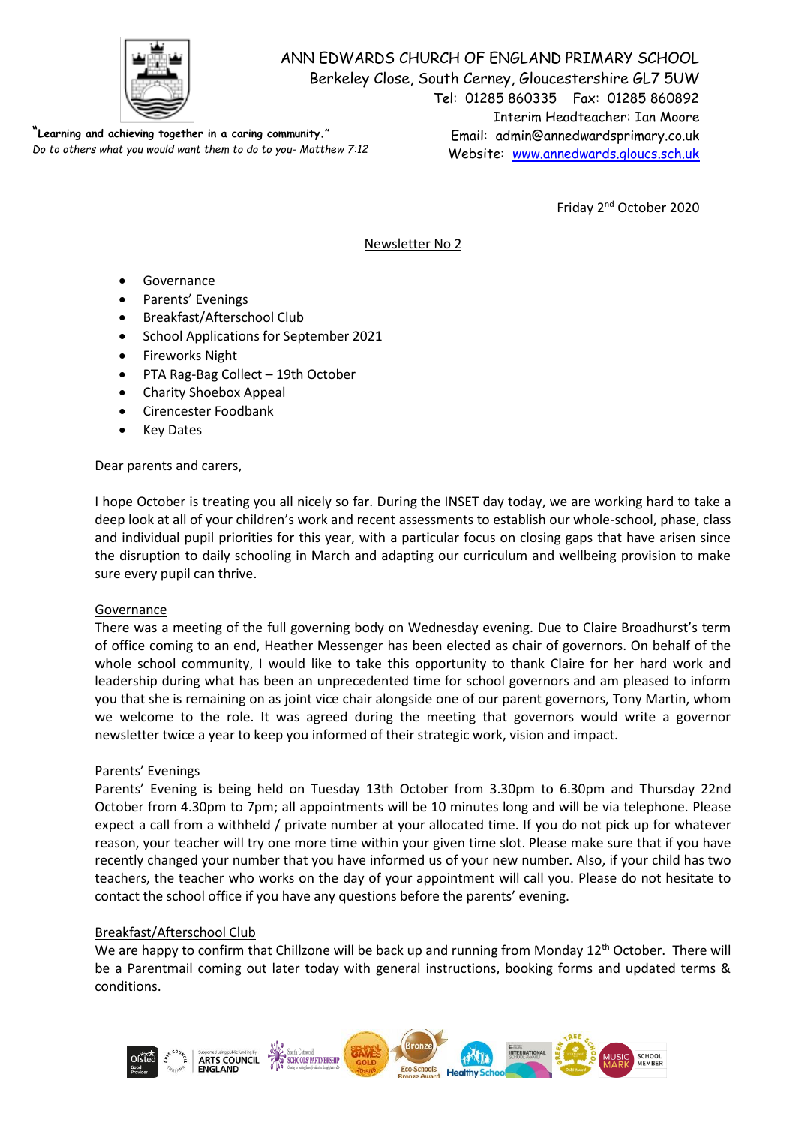

ANN EDWARDS CHURCH OF ENGLAND PRIMARY SCHOOL Berkeley Close, South Cerney, Gloucestershire GL7 5UW Tel: 01285 860335 Fax: 01285 860892 Interim Headteacher: Ian Moore Email: admin@annedwardsprimary.co.uk Website: [www.annedwards.gloucs.sch.uk](http://www.annedwards.gloucs.sch.uk/) "**Learning and achieving together in a caring community."** *Do to others what you would want them to do to you- Matthew 7:12*

Friday 2<sup>nd</sup> October 2020

# Newsletter No 2

- Governance
- Parents' Evenings
- Breakfast/Afterschool Club
- School Applications for September 2021
- **•** Fireworks Night
- PTA Rag-Bag Collect 19th October
- Charity Shoebox Appeal
- Cirencester Foodbank
- Key Dates

Dear parents and carers,

I hope October is treating you all nicely so far. During the INSET day today, we are working hard to take a deep look at all of your children's work and recent assessments to establish our whole-school, phase, class and individual pupil priorities for this year, with a particular focus on closing gaps that have arisen since the disruption to daily schooling in March and adapting our curriculum and wellbeing provision to make sure every pupil can thrive.

## Governance

There was a meeting of the full governing body on Wednesday evening. Due to Claire Broadhurst's term of office coming to an end, Heather Messenger has been elected as chair of governors. On behalf of the whole school community, I would like to take this opportunity to thank Claire for her hard work and leadership during what has been an unprecedented time for school governors and am pleased to inform you that she is remaining on as joint vice chair alongside one of our parent governors, Tony Martin, whom we welcome to the role. It was agreed during the meeting that governors would write a governor newsletter twice a year to keep you informed of their strategic work, vision and impact.

## Parents' Evenings

Parents' Evening is being held on Tuesday 13th October from 3.30pm to 6.30pm and Thursday 22nd October from 4.30pm to 7pm; all appointments will be 10 minutes long and will be via telephone. Please expect a call from a withheld / private number at your allocated time. If you do not pick up for whatever reason, your teacher will try one more time within your given time slot. Please make sure that if you have recently changed your number that you have informed us of your new number. Also, if your child has two teachers, the teacher who works on the day of your appointment will call you. Please do not hesitate to contact the school office if you have any questions before the parents' evening.

## Breakfast/Afterschool Club

We are happy to confirm that Chillzone will be back up and running from Monday 12<sup>th</sup> October. There will be a Parentmail coming out later today with general instructions, booking forms and updated terms & conditions.

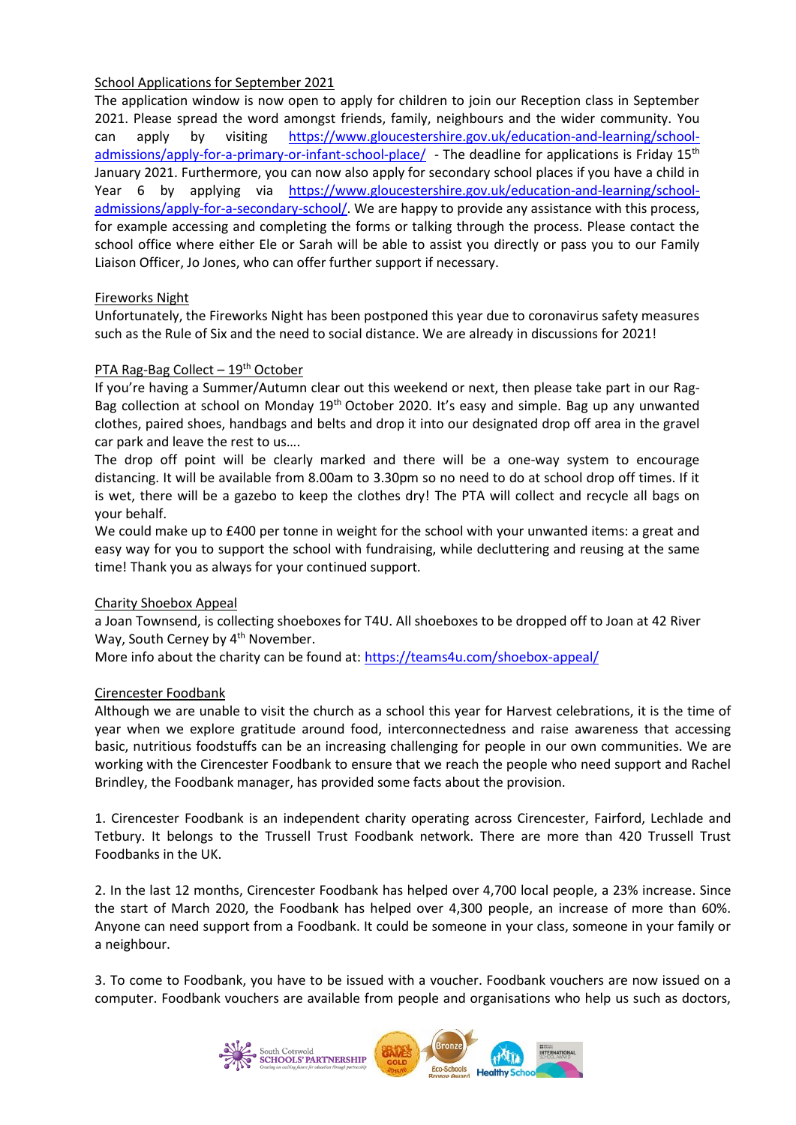## School Applications for September 2021

The application window is now open to apply for children to join our Reception class in September 2021. Please spread the word amongst friends, family, neighbours and the wider community. You can apply by visiting [https://www.gloucestershire.gov.uk/education-and-learning/school](https://www.gloucestershire.gov.uk/education-and-learning/school-admissions/apply-for-a-primary-or-infant-school-place/)[admissions/apply-for-a-primary-or-infant-school-place/](https://www.gloucestershire.gov.uk/education-and-learning/school-admissions/apply-for-a-primary-or-infant-school-place/) - The deadline for applications is Friday 15<sup>th</sup> January 2021. Furthermore, you can now also apply for secondary school places if you have a child in Year 6 by applying via [https://www.gloucestershire.gov.uk/education-and-learning/school](https://www.gloucestershire.gov.uk/education-and-learning/school-admissions/apply-for-a-secondary-school/)[admissions/apply-for-a-secondary-school/.](https://www.gloucestershire.gov.uk/education-and-learning/school-admissions/apply-for-a-secondary-school/) We are happy to provide any assistance with this process, for example accessing and completing the forms or talking through the process. Please contact the school office where either Ele or Sarah will be able to assist you directly or pass you to our Family Liaison Officer, Jo Jones, who can offer further support if necessary.

## Fireworks Night

Unfortunately, the Fireworks Night has been postponed this year due to coronavirus safety measures such as the Rule of Six and the need to social distance. We are already in discussions for 2021!

## PTA Rag-Bag Collect  $-19<sup>th</sup>$  October

If you're having a Summer/Autumn clear out this weekend or next, then please take part in our Rag-Bag collection at school on Monday 19<sup>th</sup> October 2020. It's easy and simple. Bag up any unwanted clothes, paired shoes, handbags and belts and drop it into our designated drop off area in the gravel car park and leave the rest to us….

The drop off point will be clearly marked and there will be a one-way system to encourage distancing. It will be available from 8.00am to 3.30pm so no need to do at school drop off times. If it is wet, there will be a gazebo to keep the clothes dry! The PTA will collect and recycle all bags on your behalf.

We could make up to £400 per tonne in weight for the school with your unwanted items: a great and easy way for you to support the school with fundraising, while decluttering and reusing at the same time! Thank you as always for your continued support.

## Charity Shoebox Appeal

a Joan Townsend, is collecting shoeboxes for T4U. All shoeboxes to be dropped off to Joan at 42 River Way, South Cerney by 4<sup>th</sup> November.

More info about the charity can be found at: <https://teams4u.com/shoebox-appeal/>

## Cirencester Foodbank

Although we are unable to visit the church as a school this year for Harvest celebrations, it is the time of year when we explore gratitude around food, interconnectedness and raise awareness that accessing basic, nutritious foodstuffs can be an increasing challenging for people in our own communities. We are working with the Cirencester Foodbank to ensure that we reach the people who need support and Rachel Brindley, the Foodbank manager, has provided some facts about the provision.

1. Cirencester Foodbank is an independent charity operating across Cirencester, Fairford, Lechlade and Tetbury. It belongs to the Trussell Trust Foodbank network. There are more than 420 Trussell Trust Foodbanks in the UK.

2. In the last 12 months, Cirencester Foodbank has helped over 4,700 local people, a 23% increase. Since the start of March 2020, the Foodbank has helped over 4,300 people, an increase of more than 60%. Anyone can need support from a Foodbank. It could be someone in your class, someone in your family or a neighbour.

3. To come to Foodbank, you have to be issued with a voucher. Foodbank vouchers are now issued on a computer. Foodbank vouchers are available from people and organisations who help us such as doctors,